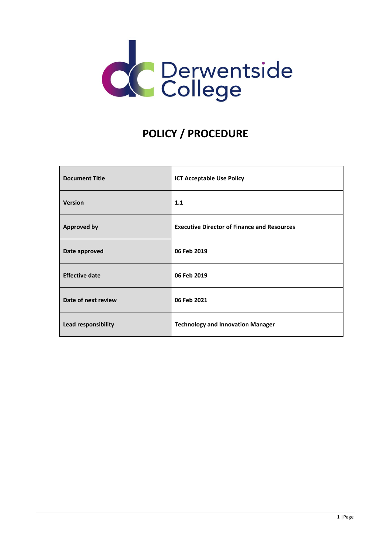

# **POLICY / PROCEDURE**

| <b>Document Title</b> | <b>ICT Acceptable Use Policy</b>                   |
|-----------------------|----------------------------------------------------|
| <b>Version</b>        | 1.1                                                |
| <b>Approved by</b>    | <b>Executive Director of Finance and Resources</b> |
| Date approved         | 06 Feb 2019                                        |
| <b>Effective date</b> | 06 Feb 2019                                        |
| Date of next review   | 06 Feb 2021                                        |
| Lead responsibility   | <b>Technology and Innovation Manager</b>           |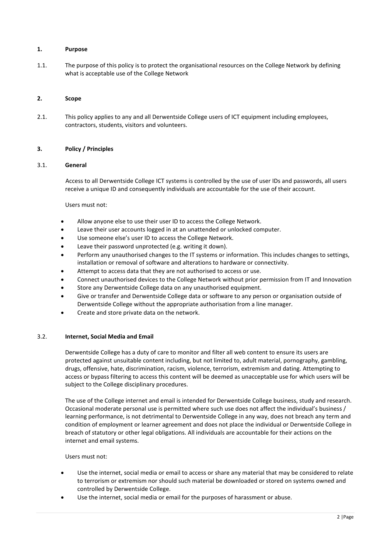## **1. Purpose**

1.1. The purpose of this policy is to protect the organisational resources on the College Network by defining what is acceptable use of the College Network

# **2. Scope**

2.1. This policy applies to any and all Derwentside College users of ICT equipment including employees, contractors, students, visitors and volunteers.

## **3. Policy / Principles**

## 3.1. **General**

Access to all Derwentside College ICT systems is controlled by the use of user IDs and passwords, all users receive a unique ID and consequently individuals are accountable for the use of their account.

## Users must not:

- Allow anyone else to use their user ID to access the College Network.
- Leave their user accounts logged in at an unattended or unlocked computer.
- Use someone else's user ID to access the College Network.
- Leave their password unprotected (e.g. writing it down).
- Perform any unauthorised changes to the IT systems or information. This includes changes to settings, installation or removal of software and alterations to hardware or connectivity.
- Attempt to access data that they are not authorised to access or use.
- Connect unauthorised devices to the College Network without prior permission from IT and Innovation
- Store any Derwentside College data on any unauthorised equipment.
- Give or transfer and Derwentside College data or software to any person or organisation outside of Derwentside College without the appropriate authorisation from a line manager.
- Create and store private data on the network.

## 3.2. **Internet, Social Media and Email**

Derwentside College has a duty of care to monitor and filter all web content to ensure its users are protected against unsuitable content including, but not limited to, adult material, pornography, gambling, drugs, offensive, hate, discrimination, racism, violence, terrorism, extremism and dating. Attempting to access or bypass filtering to access this content will be deemed as unacceptable use for which users will be subject to the College disciplinary procedures.

The use of the College internet and email is intended for Derwentside College business, study and research. Occasional moderate personal use is permitted where such use does not affect the individual's business / learning performance, is not detrimental to Derwentside College in any way, does not breach any term and condition of employment or learner agreement and does not place the individual or Derwentside College in breach of statutory or other legal obligations. All individuals are accountable for their actions on the internet and email systems.

## Users must not:

- Use the internet, social media or email to access or share any material that may be considered to relate to terrorism or extremism nor should such material be downloaded or stored on systems owned and controlled by Derwentside College.
- Use the internet, social media or email for the purposes of harassment or abuse.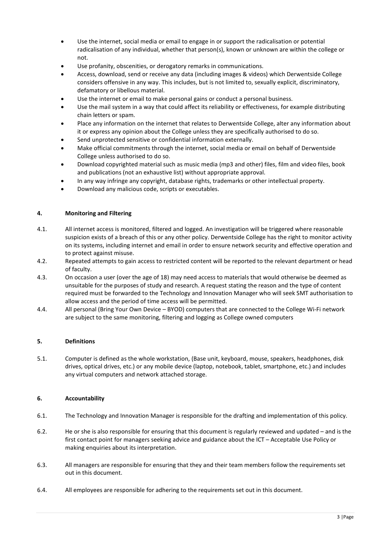- Use the internet, social media or email to engage in or support the radicalisation or potential radicalisation of any individual, whether that person(s), known or unknown are within the college or not.
- Use profanity, obscenities, or derogatory remarks in communications.
- Access, download, send or receive any data (including images & videos) which Derwentside College considers offensive in any way. This includes, but is not limited to, sexually explicit, discriminatory, defamatory or libellous material.
- Use the internet or email to make personal gains or conduct a personal business.
- Use the mail system in a way that could affect its reliability or effectiveness, for example distributing chain letters or spam.
- Place any information on the internet that relates to Derwentside College, alter any information about it or express any opinion about the College unless they are specifically authorised to do so.
- Send unprotected sensitive or confidential information externally.
- Make official commitments through the internet, social media or email on behalf of Derwentside College unless authorised to do so.
- Download copyrighted material such as music media (mp3 and other) files, film and video files, book and publications (not an exhaustive list) without appropriate approval.
- In any way infringe any copyright, database rights, trademarks or other intellectual property.
- Download any malicious code, scripts or executables.

# **4. Monitoring and Filtering**

- 4.1. All internet access is monitored, filtered and logged. An investigation will be triggered where reasonable suspicion exists of a breach of this or any other policy. Derwentside College has the right to monitor activity on its systems, including internet and email in order to ensure network security and effective operation and to protect against misuse.
- 4.2. Repeated attempts to gain access to restricted content will be reported to the relevant department or head of faculty.
- 4.3. On occasion a user (over the age of 18) may need access to materials that would otherwise be deemed as unsuitable for the purposes of study and research. A request stating the reason and the type of content required must be forwarded to the Technology and Innovation Manager who will seek SMT authorisation to allow access and the period of time access will be permitted.
- 4.4. All personal (Bring Your Own Device BYOD) computers that are connected to the College Wi-Fi network are subject to the same monitoring, filtering and logging as College owned computers

# **5. Definitions**

5.1. Computer is defined as the whole workstation, (Base unit, keyboard, mouse, speakers, headphones, disk drives, optical drives, etc.) or any mobile device (laptop, notebook, tablet, smartphone, etc.) and includes any virtual computers and network attached storage.

# **6. Accountability**

- 6.1. The Technology and Innovation Manager is responsible for the drafting and implementation of this policy.
- 6.2. He or she is also responsible for ensuring that this document is regularly reviewed and updated and is the first contact point for managers seeking advice and guidance about the ICT – Acceptable Use Policy or making enquiries about its interpretation.
- 6.3. All managers are responsible for ensuring that they and their team members follow the requirements set out in this document.
- 6.4. All employees are responsible for adhering to the requirements set out in this document.